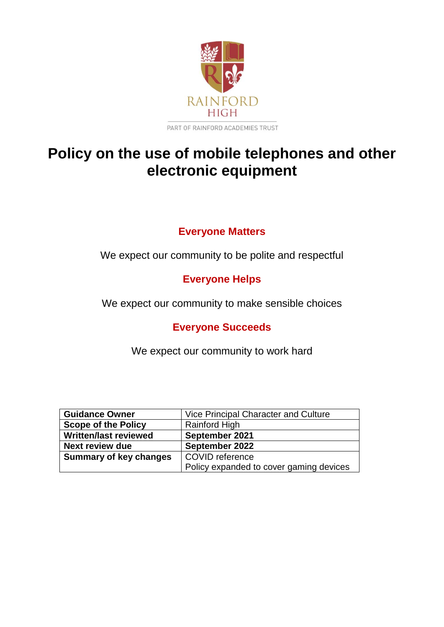

# **Policy on the use of mobile telephones and other electronic equipment**

### **Everyone Matters**

We expect our community to be polite and respectful

# **Everyone Helps**

We expect our community to make sensible choices

### **Everyone Succeeds**

We expect our community to work hard

| <b>Guidance Owner</b>         | Vice Principal Character and Culture    |
|-------------------------------|-----------------------------------------|
| <b>Scope of the Policy</b>    | Rainford High                           |
| <b>Written/last reviewed</b>  | September 2021                          |
| <b>Next review due</b>        | September 2022                          |
| <b>Summary of key changes</b> | COVID reference                         |
|                               | Policy expanded to cover gaming devices |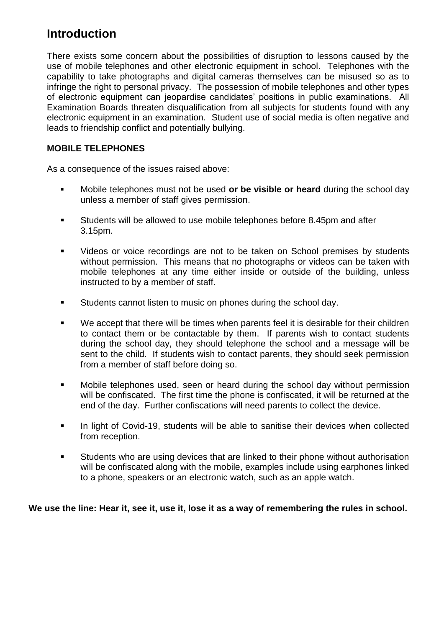# **Introduction**

There exists some concern about the possibilities of disruption to lessons caused by the use of mobile telephones and other electronic equipment in school. Telephones with the capability to take photographs and digital cameras themselves can be misused so as to infringe the right to personal privacy. The possession of mobile telephones and other types of electronic equipment can jeopardise candidates' positions in public examinations. All Examination Boards threaten disqualification from all subjects for students found with any electronic equipment in an examination. Student use of social media is often negative and leads to friendship conflict and potentially bullying.

### **MOBILE TELEPHONES**

As a consequence of the issues raised above:

- Mobile telephones must not be used **or be visible or heard** during the school day unless a member of staff gives permission.
- Students will be allowed to use mobile telephones before 8.45pm and after 3.15pm.
- Videos or voice recordings are not to be taken on School premises by students without permission. This means that no photographs or videos can be taken with mobile telephones at any time either inside or outside of the building, unless instructed to by a member of staff.
- **Students cannot listen to music on phones during the school day.**
- We accept that there will be times when parents feel it is desirable for their children to contact them or be contactable by them. If parents wish to contact students during the school day, they should telephone the school and a message will be sent to the child. If students wish to contact parents, they should seek permission from a member of staff before doing so.
- Mobile telephones used, seen or heard during the school day without permission will be confiscated. The first time the phone is confiscated, it will be returned at the end of the day. Further confiscations will need parents to collect the device.
- **In light of Covid-19, students will be able to sanitise their devices when collected** from reception.
- Students who are using devices that are linked to their phone without authorisation will be confiscated along with the mobile, examples include using earphones linked to a phone, speakers or an electronic watch, such as an apple watch.

#### **We use the line: Hear it, see it, use it, lose it as a way of remembering the rules in school.**